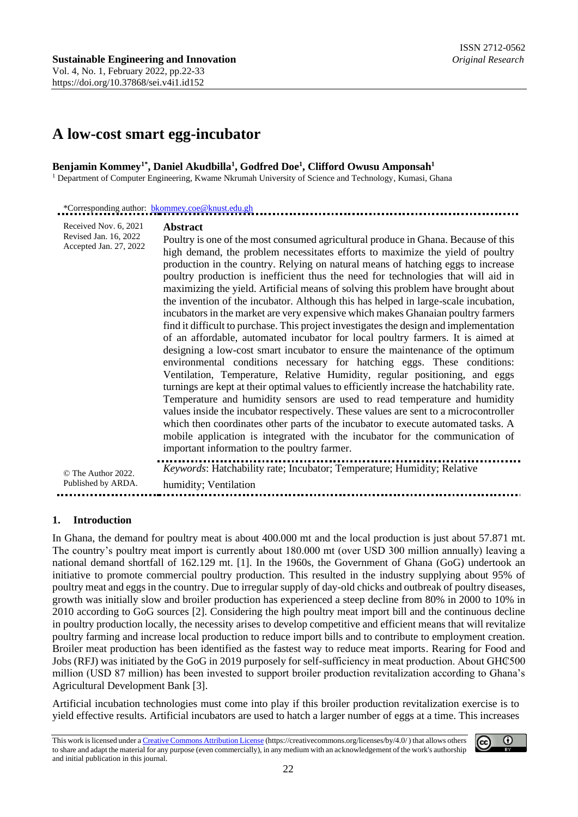# **A low-cost smart egg-incubator**

#### **Benjamin Kommey1\*, Daniel Akudbilla<sup>1</sup> , Godfred Doe<sup>1</sup> , Clifford Owusu Amponsah<sup>1</sup>** <sup>1</sup> Department of Computer Engineering, Kwame Nkrumah University of Science and Technology, Kumasi, Ghana

| Received Nov. 6, 2021<br>Revised Jan. 16, 2022<br>Accepted Jan. 27, 2022 | <b>Abstract</b><br>Poultry is one of the most consumed agricultural produce in Ghana. Because of this<br>high demand, the problem necessitates efforts to maximize the yield of poultry<br>production in the country. Relying on natural means of hatching eggs to increase<br>poultry production is inefficient thus the need for technologies that will aid in<br>maximizing the yield. Artificial means of solving this problem have brought about<br>the invention of the incubator. Although this has helped in large-scale incubation,<br>incubators in the market are very expensive which makes Ghanaian poultry farmers<br>find it difficult to purchase. This project investigates the design and implementation<br>of an affordable, automated incubator for local poultry farmers. It is aimed at<br>designing a low-cost smart incubator to ensure the maintenance of the optimum<br>environmental conditions necessary for hatching eggs. These conditions:<br>Ventilation, Temperature, Relative Humidity, regular positioning, and eggs<br>turnings are kept at their optimal values to efficiently increase the hatchability rate.<br>Temperature and humidity sensors are used to read temperature and humidity<br>values inside the incubator respectively. These values are sent to a microcontroller<br>which then coordinates other parts of the incubator to execute automated tasks. A<br>mobile application is integrated with the incubator for the communication of<br>important information to the poultry farmer. |
|--------------------------------------------------------------------------|------------------------------------------------------------------------------------------------------------------------------------------------------------------------------------------------------------------------------------------------------------------------------------------------------------------------------------------------------------------------------------------------------------------------------------------------------------------------------------------------------------------------------------------------------------------------------------------------------------------------------------------------------------------------------------------------------------------------------------------------------------------------------------------------------------------------------------------------------------------------------------------------------------------------------------------------------------------------------------------------------------------------------------------------------------------------------------------------------------------------------------------------------------------------------------------------------------------------------------------------------------------------------------------------------------------------------------------------------------------------------------------------------------------------------------------------------------------------------------------------------------------------------------------------|
| © The Author 2022.                                                       | Keywords: Hatchability rate; Incubator; Temperature; Humidity; Relative                                                                                                                                                                                                                                                                                                                                                                                                                                                                                                                                                                                                                                                                                                                                                                                                                                                                                                                                                                                                                                                                                                                                                                                                                                                                                                                                                                                                                                                                        |
| Published by ARDA.                                                       | humidity; Ventilation                                                                                                                                                                                                                                                                                                                                                                                                                                                                                                                                                                                                                                                                                                                                                                                                                                                                                                                                                                                                                                                                                                                                                                                                                                                                                                                                                                                                                                                                                                                          |

In Ghana, the demand for poultry meat is about 400.000 mt and the local production is just about 57.871 mt. The country's poultry meat import is currently about 180.000 mt (over USD 300 million annually) leaving a national demand shortfall of 162.129 mt. [1]. In the 1960s, the Government of Ghana (GoG) undertook an initiative to promote commercial poultry production. This resulted in the industry supplying about 95% of poultry meat and eggs in the country. Due to irregular supply of day-old chicks and outbreak of poultry diseases, growth was initially slow and broiler production has experienced a steep decline from 80% in 2000 to 10% in 2010 according to GoG sources [2]. Considering the high poultry meat import bill and the continuous decline in poultry production locally, the necessity arises to develop competitive and efficient means that will revitalize poultry farming and increase local production to reduce import bills and to contribute to employment creation. Broiler meat production has been identified as the fastest way to reduce meat imports. Rearing for Food and Jobs (RFJ) was initiated by the GoG in 2019 purposely for self-sufficiency in meat production. About GH₵500 million (USD 87 million) has been invested to support broiler production revitalization according to Ghana's Agricultural Development Bank [3].

Artificial incubation technologies must come into play if this broiler production revitalization exercise is to yield effective results. Artificial incubators are used to hatch a larger number of eggs at a time. This increases

This work is licensed under [a Creative Commons Attribution License](https://creativecommons.org/licenses/by/4.0/) (https://creativecommons.org/licenses/by/4.0/ ) that allows others to share and adapt the material for any purpose (even commercially), in any medium with an acknowledgement of the work's authorship and initial publication in this journal.

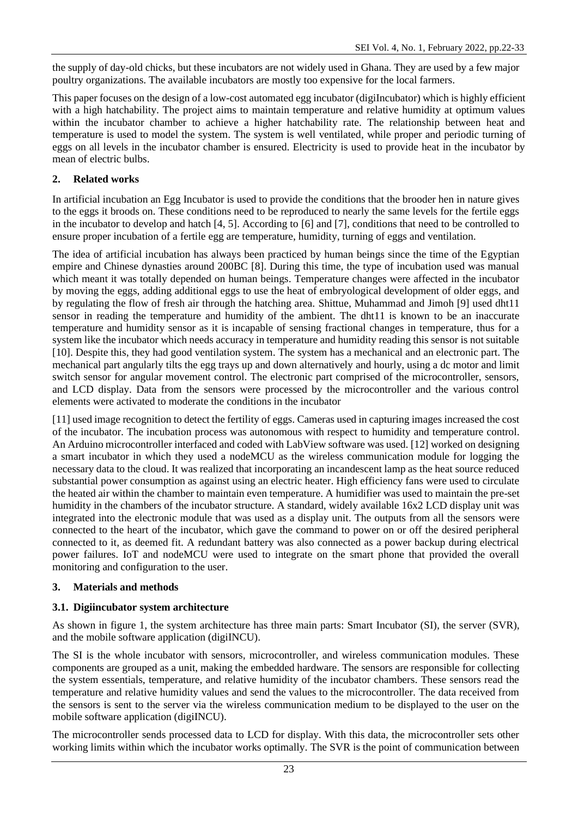the supply of day-old chicks, but these incubators are not widely used in Ghana. They are used by a few major poultry organizations. The available incubators are mostly too expensive for the local farmers.

This paper focuses on the design of a low-cost automated egg incubator (digiIncubator) which is highly efficient with a high hatchability. The project aims to maintain temperature and relative humidity at optimum values within the incubator chamber to achieve a higher hatchability rate. The relationship between heat and temperature is used to model the system. The system is well ventilated, while proper and periodic turning of eggs on all levels in the incubator chamber is ensured. Electricity is used to provide heat in the incubator by mean of electric bulbs.

## **2. Related works**

In artificial incubation an Egg Incubator is used to provide the conditions that the brooder hen in nature gives to the eggs it broods on. These conditions need to be reproduced to nearly the same levels for the fertile eggs in the incubator to develop and hatch [4, 5]. According to [6] and [7], conditions that need to be controlled to ensure proper incubation of a fertile egg are temperature, humidity, turning of eggs and ventilation.

The idea of artificial incubation has always been practiced by human beings since the time of the Egyptian empire and Chinese dynasties around 200BC [8]. During this time, the type of incubation used was manual which meant it was totally depended on human beings. Temperature changes were affected in the incubator by moving the eggs, adding additional eggs to use the heat of embryological development of older eggs, and by regulating the flow of fresh air through the hatching area. Shittue, Muhammad and Jimoh [9] used dht11 sensor in reading the temperature and humidity of the ambient. The dht11 is known to be an inaccurate temperature and humidity sensor as it is incapable of sensing fractional changes in temperature, thus for a system like the incubator which needs accuracy in temperature and humidity reading this sensor is not suitable [10]. Despite this, they had good ventilation system. The system has a mechanical and an electronic part. The mechanical part angularly tilts the egg trays up and down alternatively and hourly, using a dc motor and limit switch sensor for angular movement control. The electronic part comprised of the microcontroller, sensors, and LCD display. Data from the sensors were processed by the microcontroller and the various control elements were activated to moderate the conditions in the incubator

[11] used image recognition to detect the fertility of eggs. Cameras used in capturing images increased the cost of the incubator. The incubation process was autonomous with respect to humidity and temperature control. An Arduino microcontroller interfaced and coded with LabView software was used. [12] worked on designing a smart incubator in which they used a nodeMCU as the wireless communication module for logging the necessary data to the cloud. It was realized that incorporating an incandescent lamp as the heat source reduced substantial power consumption as against using an electric heater. High efficiency fans were used to circulate the heated air within the chamber to maintain even temperature. A humidifier was used to maintain the pre-set humidity in the chambers of the incubator structure. A standard, widely available 16x2 LCD display unit was integrated into the electronic module that was used as a display unit. The outputs from all the sensors were connected to the heart of the incubator, which gave the command to power on or off the desired peripheral connected to it, as deemed fit. A redundant battery was also connected as a power backup during electrical power failures. IoT and nodeMCU were used to integrate on the smart phone that provided the overall monitoring and configuration to the user.

## **3. Materials and methods**

## **3.1. Digiincubator system architecture**

As shown in figure 1, the system architecture has three main parts: Smart Incubator (SI), the server (SVR), and the mobile software application (digiINCU).

The SI is the whole incubator with sensors, microcontroller, and wireless communication modules. These components are grouped as a unit, making the embedded hardware. The sensors are responsible for collecting the system essentials, temperature, and relative humidity of the incubator chambers. These sensors read the temperature and relative humidity values and send the values to the microcontroller. The data received from the sensors is sent to the server via the wireless communication medium to be displayed to the user on the mobile software application (digiINCU).

The microcontroller sends processed data to LCD for display. With this data, the microcontroller sets other working limits within which the incubator works optimally. The SVR is the point of communication between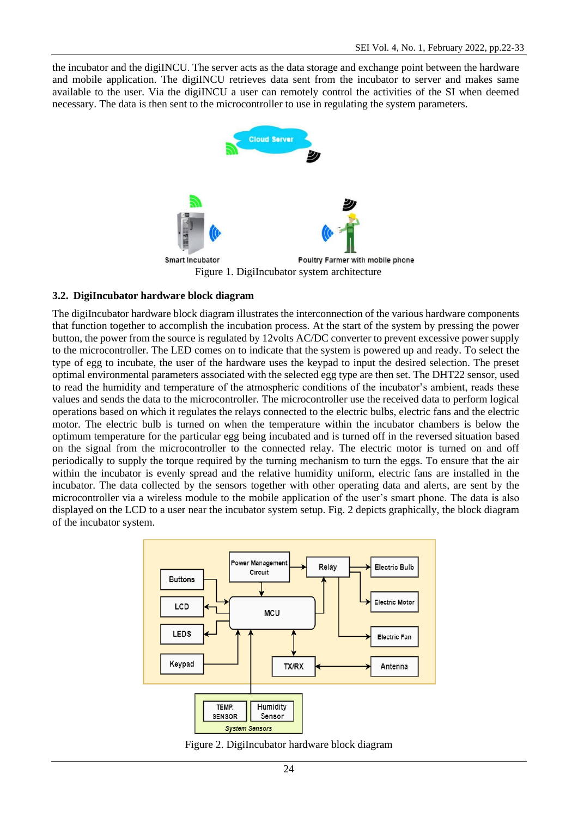the incubator and the digiINCU. The server acts as the data storage and exchange point between the hardware and mobile application. The digiINCU retrieves data sent from the incubator to server and makes same available to the user. Via the digiINCU a user can remotely control the activities of the SI when deemed necessary. The data is then sent to the microcontroller to use in regulating the system parameters.



### **3.2. DigiIncubator hardware block diagram**

The digiIncubator hardware block diagram illustrates the interconnection of the various hardware components that function together to accomplish the incubation process. At the start of the system by pressing the power button, the power from the source is regulated by 12volts AC/DC converter to prevent excessive power supply to the microcontroller. The LED comes on to indicate that the system is powered up and ready. To select the type of egg to incubate, the user of the hardware uses the keypad to input the desired selection. The preset optimal environmental parameters associated with the selected egg type are then set. The DHT22 sensor, used to read the humidity and temperature of the atmospheric conditions of the incubator's ambient, reads these values and sends the data to the microcontroller. The microcontroller use the received data to perform logical operations based on which it regulates the relays connected to the electric bulbs, electric fans and the electric motor. The electric bulb is turned on when the temperature within the incubator chambers is below the optimum temperature for the particular egg being incubated and is turned off in the reversed situation based on the signal from the microcontroller to the connected relay. The electric motor is turned on and off periodically to supply the torque required by the turning mechanism to turn the eggs. To ensure that the air within the incubator is evenly spread and the relative humidity uniform, electric fans are installed in the incubator. The data collected by the sensors together with other operating data and alerts, are sent by the microcontroller via a wireless module to the mobile application of the user's smart phone. The data is also displayed on the LCD to a user near the incubator system setup. Fig. 2 depicts graphically, the block diagram of the incubator system.



Figure 2. DigiIncubator hardware block diagram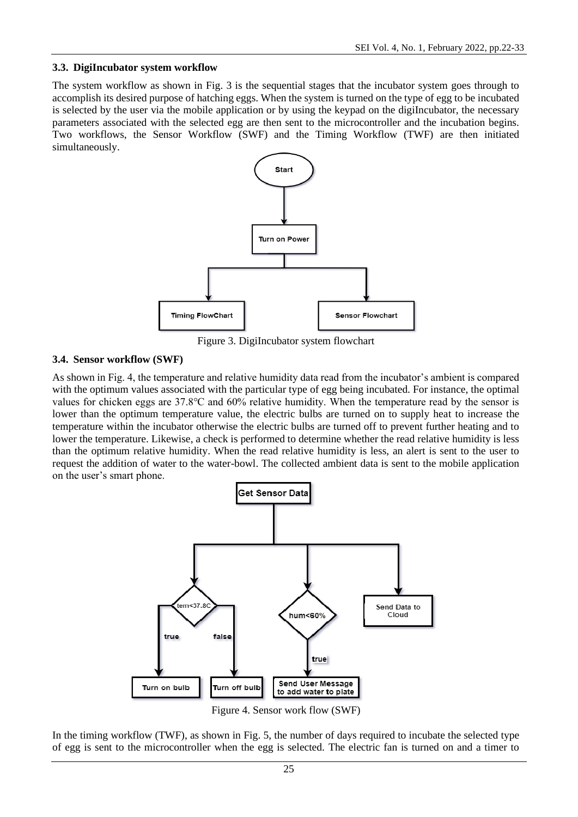### **3.3. DigiIncubator system workflow**

The system workflow as shown in Fig. 3 is the sequential stages that the incubator system goes through to accomplish its desired purpose of hatching eggs. When the system is turned on the type of egg to be incubated is selected by the user via the mobile application or by using the keypad on the digiIncubator, the necessary parameters associated with the selected egg are then sent to the microcontroller and the incubation begins. Two workflows, the Sensor Workflow (SWF) and the Timing Workflow (TWF) are then initiated simultaneously.



Figure 3. DigiIncubator system flowchart

## **3.4. Sensor workflow (SWF)**

As shown in Fig. 4, the temperature and relative humidity data read from the incubator's ambient is compared with the optimum values associated with the particular type of egg being incubated. For instance, the optimal values for chicken eggs are 37.8℃ and 60% relative humidity. When the temperature read by the sensor is lower than the optimum temperature value, the electric bulbs are turned on to supply heat to increase the temperature within the incubator otherwise the electric bulbs are turned off to prevent further heating and to lower the temperature. Likewise, a check is performed to determine whether the read relative humidity is less than the optimum relative humidity. When the read relative humidity is less, an alert is sent to the user to request the addition of water to the water-bowl. The collected ambient data is sent to the mobile application on the user's smart phone.



Figure 4. Sensor work flow (SWF)

In the timing workflow (TWF), as shown in Fig. 5, the number of days required to incubate the selected type of egg is sent to the microcontroller when the egg is selected. The electric fan is turned on and a timer to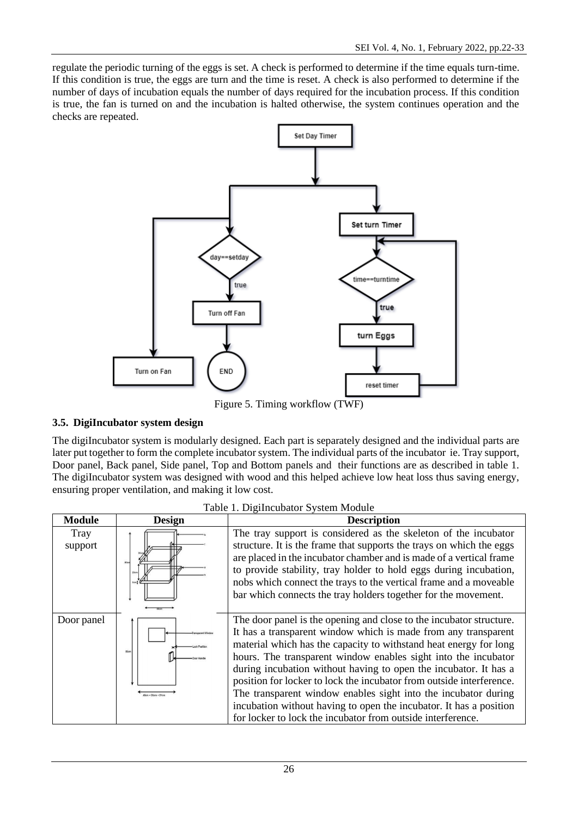regulate the periodic turning of the eggs is set. A check is performed to determine if the time equals turn-time. If this condition is true, the eggs are turn and the time is reset. A check is also performed to determine if the number of days of incubation equals the number of days required for the incubation process. If this condition is true, the fan is turned on and the incubation is halted otherwise, the system continues operation and the checks are repeated.



Figure 5. Timing workflow (TWF)

## **3.5. DigiIncubator system design**

The digiIncubator system is modularly designed. Each part is separately designed and the individual parts are later put together to form the complete incubator system. The individual parts of the incubator ie. Tray support, Door panel, Back panel, Side panel, Top and Bottom panels and their functions are as described in table 1. The digiIncubator system was designed with wood and this helped achieve low heat loss thus saving energy, ensuring proper ventilation, and making it low cost.

|                        |                                   | Table 1. Digital didator Dystem Module                                                                                                                                                                                                                                                                                                                                                                                                                                                                                                                                                                                          |
|------------------------|-----------------------------------|---------------------------------------------------------------------------------------------------------------------------------------------------------------------------------------------------------------------------------------------------------------------------------------------------------------------------------------------------------------------------------------------------------------------------------------------------------------------------------------------------------------------------------------------------------------------------------------------------------------------------------|
| <b>Module</b>          | <b>Design</b>                     | <b>Description</b>                                                                                                                                                                                                                                                                                                                                                                                                                                                                                                                                                                                                              |
| <b>Tray</b><br>support |                                   | The tray support is considered as the skeleton of the incubator<br>structure. It is the frame that supports the trays on which the eggs<br>are placed in the incubator chamber and is made of a vertical frame<br>to provide stability, tray holder to hold eggs during incubation,<br>nobs which connect the trays to the vertical frame and a moveable<br>bar which connects the tray holders together for the movement.                                                                                                                                                                                                      |
| Door panel             | <b>Böcm</b><br>them + 2Xem + 2Yes | The door panel is the opening and close to the incubator structure.<br>It has a transparent window which is made from any transparent<br>material which has the capacity to withstand heat energy for long<br>hours. The transparent window enables sight into the incubator<br>during incubation without having to open the incubator. It has a<br>position for locker to lock the incubator from outside interference.<br>The transparent window enables sight into the incubator during<br>incubation without having to open the incubator. It has a position<br>for locker to lock the incubator from outside interference. |

Table 1. DigiIncubator System Module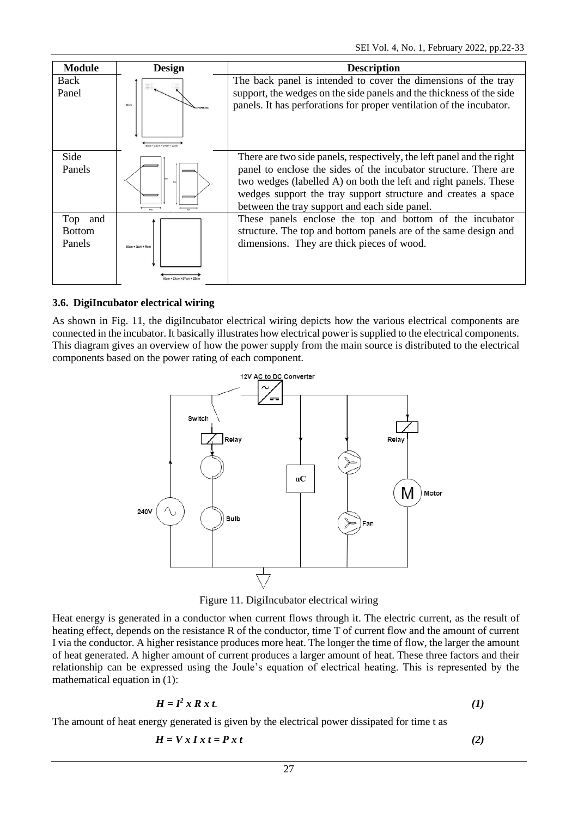| <b>Module</b>                      | <b>Design</b>      | <b>Description</b>                                                                                                                                                                                                                                                                                                              |
|------------------------------------|--------------------|---------------------------------------------------------------------------------------------------------------------------------------------------------------------------------------------------------------------------------------------------------------------------------------------------------------------------------|
| Back<br>Panel                      | \$0cm              | The back panel is intended to cover the dimensions of the tray<br>support, the wedges on the side panels and the thickness of the side<br>panels. It has perforations for proper ventilation of the incubator.                                                                                                                  |
| Side<br>Panels                     |                    | There are two side panels, respectively, the left panel and the right<br>panel to enclose the sides of the incubator structure. There are<br>two wedges (labelled A) on both the left and right panels. These<br>wedges support the tray support structure and creates a space<br>between the tray support and each side panel. |
| Top and<br><b>Bottom</b><br>Panels | $40cm + Qcm + Rcm$ | These panels enclose the top and bottom of the incubator<br>structure. The top and bottom panels are of the same design and<br>dimensions. They are thick pieces of wood.                                                                                                                                                       |

### **3.6. DigiIncubator electrical wiring**

As shown in Fig. 11, the digiIncubator electrical wiring depicts how the various electrical components are connected in the incubator. It basically illustrates how electrical power is supplied to the electrical components. This diagram gives an overview of how the power supply from the main source is distributed to the electrical components based on the power rating of each component.



Figure 11. DigiIncubator electrical wiring

Heat energy is generated in a conductor when current flows through it. The electric current, as the result of heating effect, depends on the resistance R of the conductor, time T of current flow and the amount of current I via the conductor. A higher resistance produces more heat. The longer the time of flow, the larger the amount of heat generated. A higher amount of current produces a larger amount of heat. These three factors and their relationship can be expressed using the Joule's equation of electrical heating. This is represented by the mathematical equation in (1):

$$
H = I^2 x R x t. \tag{1}
$$

The amount of heat energy generated is given by the electrical power dissipated for time t as

$$
H = Vx I x t = P x t \tag{2}
$$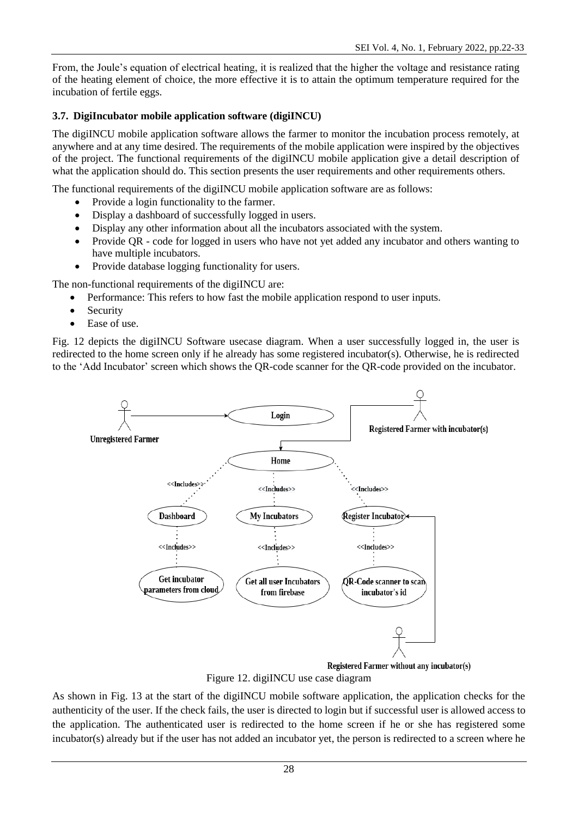From, the Joule's equation of electrical heating, it is realized that the higher the voltage and resistance rating of the heating element of choice, the more effective it is to attain the optimum temperature required for the incubation of fertile eggs.

## **3.7. DigiIncubator mobile application software (digiINCU)**

The digiINCU mobile application software allows the farmer to monitor the incubation process remotely, at anywhere and at any time desired. The requirements of the mobile application were inspired by the objectives of the project. The functional requirements of the digiINCU mobile application give a detail description of what the application should do. This section presents the user requirements and other requirements others.

The functional requirements of the digiINCU mobile application software are as follows:

- Provide a login functionality to the farmer.
- Display a dashboard of successfully logged in users.
- Display any other information about all the incubators associated with the system.
- Provide QR code for logged in users who have not yet added any incubator and others wanting to have multiple incubators.
- Provide database logging functionality for users.

The non-functional requirements of the digiINCU are:

- Performance: This refers to how fast the mobile application respond to user inputs.
- Security
- Ease of use.

Fig. 12 depicts the digiINCU Software usecase diagram. When a user successfully logged in, the user is redirected to the home screen only if he already has some registered incubator(s). Otherwise, he is redirected to the 'Add Incubator' screen which shows the QR-code scanner for the QR-code provided on the incubator.



Registered Farmer without any incubator(s)

Figure 12. digiINCU use case diagram

As shown in Fig. 13 at the start of the digiINCU mobile software application, the application checks for the authenticity of the user. If the check fails, the user is directed to login but if successful user is allowed access to the application. The authenticated user is redirected to the home screen if he or she has registered some incubator(s) already but if the user has not added an incubator yet, the person is redirected to a screen where he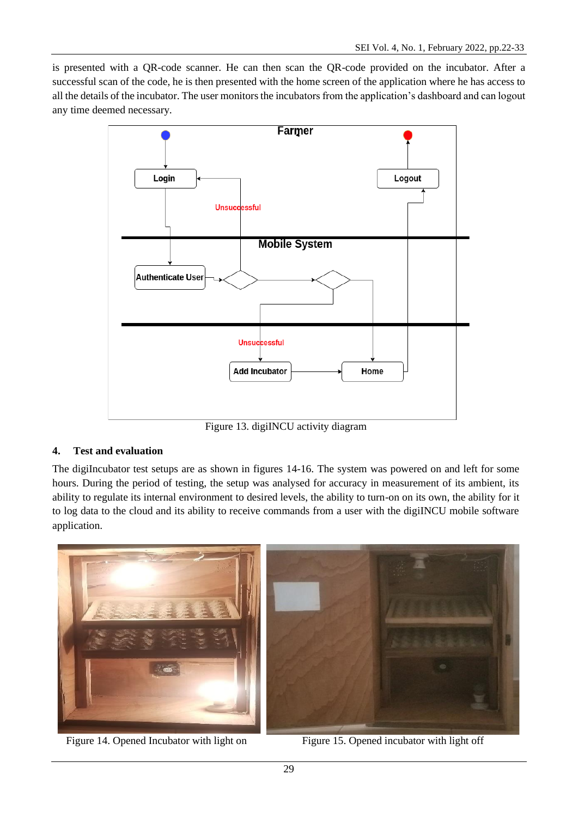is presented with a QR-code scanner. He can then scan the QR-code provided on the incubator. After a successful scan of the code, he is then presented with the home screen of the application where he has access to all the details of the incubator. The user monitors the incubators from the application's dashboard and can logout any time deemed necessary.



Figure 13. digiINCU activity diagram

## **4. Test and evaluation**

The digiIncubator test setups are as shown in figures 14-16. The system was powered on and left for some hours. During the period of testing, the setup was analysed for accuracy in measurement of its ambient, its ability to regulate its internal environment to desired levels, the ability to turn-on on its own, the ability for it to log data to the cloud and its ability to receive commands from a user with the digiINCU mobile software application.



Figure 14. Opened Incubator with light on Figure 15. Opened incubator with light off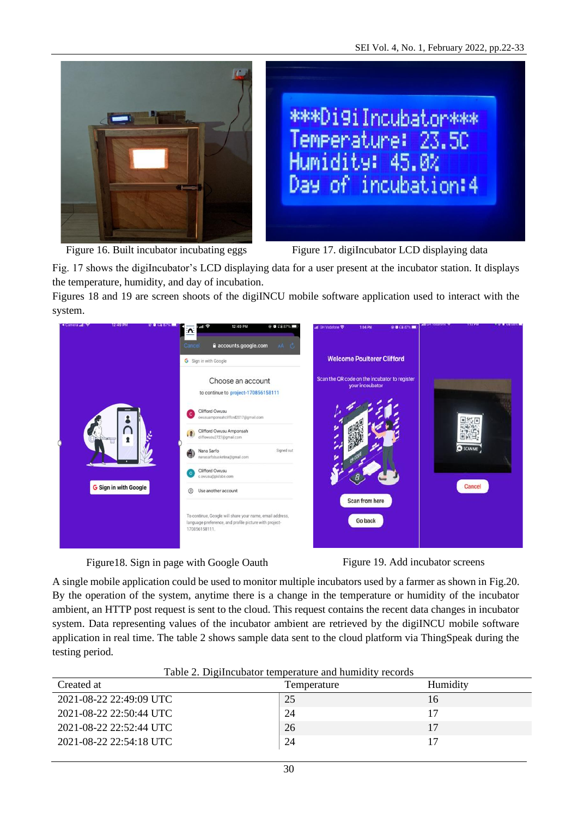



Figure 16. Built incubator incubating eggs Figure 17. digiIncubator LCD displaying data

Fig. 17 shows the digiIncubator's LCD displaying data for a user present at the incubator station. It displays the temperature, humidity, and day of incubation.

Figures 18 and 19 are screen shoots of the digiINCU mobile software application used to interact with the system.







A single mobile application could be used to monitor multiple incubators used by a farmer as shown in Fig.20. By the operation of the system, anytime there is a change in the temperature or humidity of the incubator ambient, an HTTP post request is sent to the cloud. This request contains the recent data changes in incubator system. Data representing values of the incubator ambient are retrieved by the digiINCU mobile software application in real time. The table 2 shows sample data sent to the cloud platform via ThingSpeak during the testing period.

| Table 2. Digital dully temperature and manifesty records<br>Created at | Temperature | Humidity |
|------------------------------------------------------------------------|-------------|----------|
| 2021-08-22 22:49:09 UTC                                                | 25          | 16       |
| 2021-08-22 22:50:44 UTC                                                | 24          | 17       |
| 2021-08-22 22:52:44 UTC                                                | 26          | 17       |
| 2021-08-22 22:54:18 UTC                                                | 24          |          |
|                                                                        |             |          |

| Table 2. DigiIncubator temperature and humidity records |
|---------------------------------------------------------|
|---------------------------------------------------------|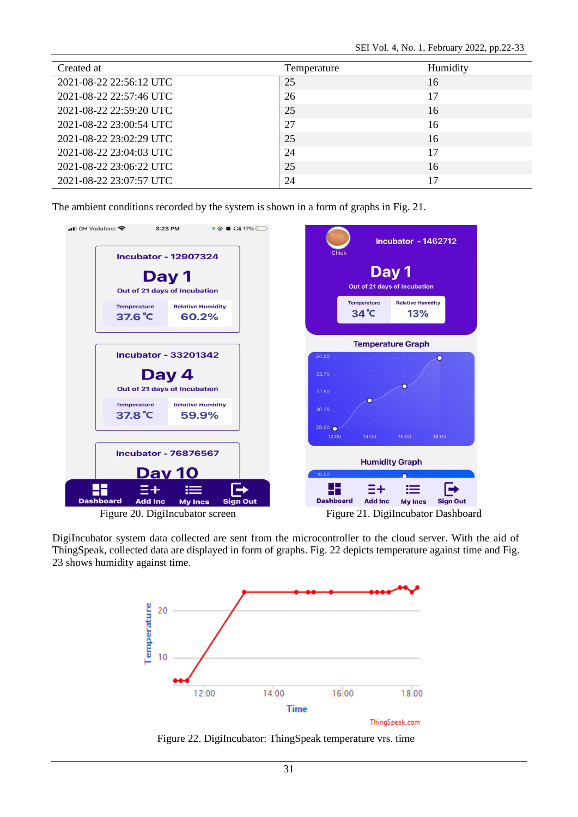| Created at              | Temperature | Humidity |
|-------------------------|-------------|----------|
| 2021-08-22 22:56:12 UTC | 25          | 16       |
| 2021-08-22 22:57:46 UTC | 26          | 17       |
| 2021-08-22 22:59:20 UTC | 25          | 16       |
| 2021-08-22 23:00:54 UTC | 27          | 16       |
| 2021-08-22 23:02:29 UTC | 25          | 16       |
| 2021-08-22 23:04:03 UTC | 24          | 17       |
| 2021-08-22 23:06:22 UTC | 25          | 16       |
| 2021-08-22 23:07:57 UTC | 24          | 17       |

The ambient conditions recorded by the system is shown in a form of graphs in Fig. 21.



Figure 20. DigiIncubator screen Figure 21. DigiIncubator Dashboard

DigiIncubator system data collected are sent from the microcontroller to the cloud server. With the aid of ThingSpeak, collected data are displayed in form of graphs. Fig. 22 depicts temperature against time and Fig. 23 shows humidity against time.



Figure 22. DigiIncubator: ThingSpeak temperature vrs. time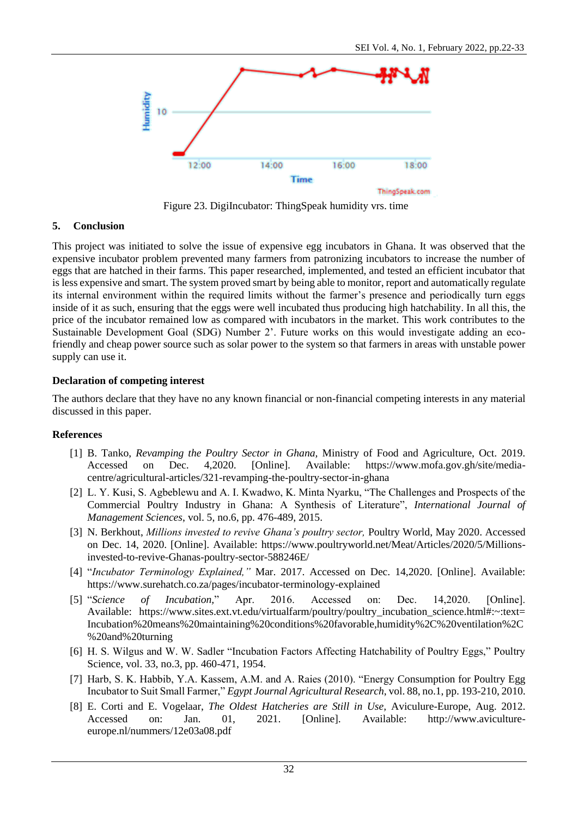

Figure 23. DigiIncubator: ThingSpeak humidity vrs. time

## **5. Conclusion**

This project was initiated to solve the issue of expensive egg incubators in Ghana. It was observed that the expensive incubator problem prevented many farmers from patronizing incubators to increase the number of eggs that are hatched in their farms. This paper researched, implemented, and tested an efficient incubator that is less expensive and smart. The system proved smart by being able to monitor, report and automatically regulate its internal environment within the required limits without the farmer's presence and periodically turn eggs inside of it as such, ensuring that the eggs were well incubated thus producing high hatchability. In all this, the price of the incubator remained low as compared with incubators in the market. This work contributes to the Sustainable Development Goal (SDG) Number 2'. Future works on this would investigate adding an ecofriendly and cheap power source such as solar power to the system so that farmers in areas with unstable power supply can use it.

## **Declaration of competing interest**

The authors declare that they have no any known financial or non-financial competing interests in any material discussed in this paper.

### **References**

- [1] B. Tanko, *Revamping the Poultry Sector in Ghana,* Ministry of Food and Agriculture, Oct. 2019. Accessed on Dec. 4,2020. [Online]. Available: https://www.mofa.gov.gh/site/mediacentre/agricultural-articles/321-revamping-the-poultry-sector-in-ghana
- [2] L. Y. Kusi, S. Agbeblewu and A. I. Kwadwo, K. Minta Nyarku, "The Challenges and Prospects of the Commercial Poultry Industry in Ghana: A Synthesis of Literature", *International Journal of Management Sciences*, vol. 5, no.6, pp. 476-489, 2015.
- [3] N. Berkhout, *Millions invested to revive Ghana's poultry sector,* Poultry World, May 2020. Accessed on Dec. 14, 2020. [Online]. Available: https://www.poultryworld.net/Meat/Articles/2020/5/Millionsinvested-to-revive-Ghanas-poultry-sector-588246E/
- [4] "*Incubator Terminology Explained,"* Mar. 2017. Accessed on Dec. 14,2020. [Online]. Available: https://www.surehatch.co.za/pages/incubator-terminology-explained
- [5] "*Science of Incubation,*" Apr. 2016. Accessed on: Dec. 14,2020. [Online]. Available: https://www.sites.ext.vt.edu/virtualfarm/poultry/poultry\_incubation\_science.html#:~:text= Incubation%20means%20maintaining%20conditions%20favorable,humidity%2C%20ventilation%2C %20and%20turning
- [6] H. S. Wilgus and W. W. Sadler "Incubation Factors Affecting Hatchability of Poultry Eggs," Poultry Science, vol. 33, no.3, pp. 460-471, 1954.
- [7] Harb, S. K. Habbib, Y.A. Kassem, A.M. and A. Raies (2010). "Energy Consumption for Poultry Egg Incubator to Suit Small Farmer," *Egypt Journal Agricultural Research*, vol. 88, no.1, pp. 193-210, 2010.
- [8] E. Corti and E. Vogelaar, *The Oldest Hatcheries are Still in Use,* Aviculure-Europe, Aug. 2012. Accessed on: Jan. 01, 2021. [Online]. Available: http://www.avicultureeurope.nl/nummers/12e03a08.pdf